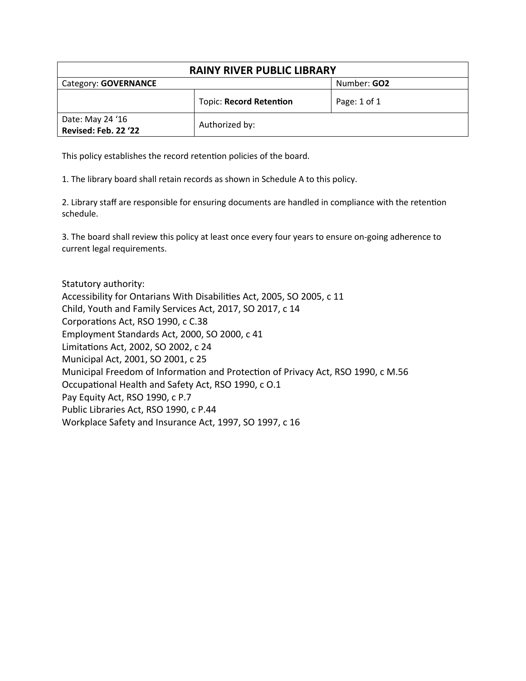| <b>RAINY RIVER PUBLIC LIBRARY</b>        |                                |              |  |
|------------------------------------------|--------------------------------|--------------|--|
| Category: <b>GOVERNANCE</b>              | Number: GO2                    |              |  |
|                                          | <b>Topic: Record Retention</b> | Page: 1 of 1 |  |
| Date: May 24 '16<br>Revised: Feb. 22 '22 | Authorized by:                 |              |  |

This policy establishes the record retention policies of the board.

1. The library board shall retain records as shown in Schedule A to this policy.

2. Library staff are responsible for ensuring documents are handled in compliance with the retention schedule.

3. The board shall review this policy at least once every four years to ensure on-going adherence to current legal requirements.

Statutory authority: Accessibility for Ontarians With Disabilities Act, 2005, SO 2005, c 11 Child, Youth and Family Services Act, 2017, SO 2017, c 14 Corporations Act, RSO 1990, c C.38 Employment Standards Act, 2000, SO 2000, c 41 Limitations Act, 2002, SO 2002, c 24 Municipal Act, 2001, SO 2001, c 25 Municipal Freedom of Information and Protection of Privacy Act, RSO 1990, c M.56 Occupational Health and Safety Act, RSO 1990, c O.1 Pay Equity Act, RSO 1990, c P.7 Public Libraries Act, RSO 1990, c P.44 Workplace Safety and Insurance Act, 1997, SO 1997, c 16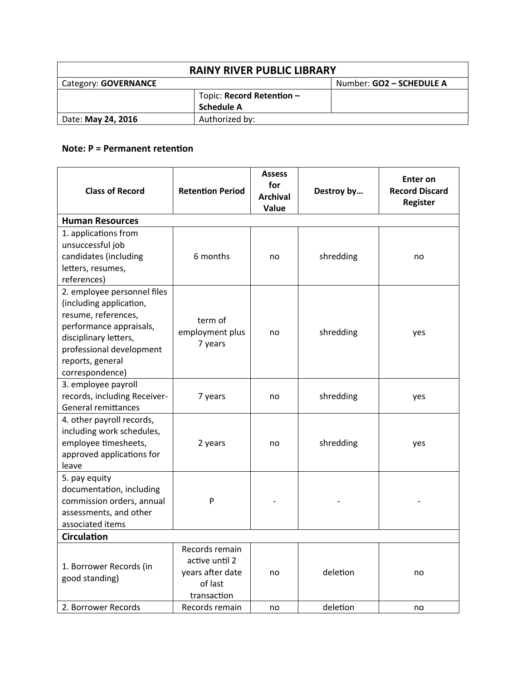| <b>RAINY RIVER PUBLIC LIBRARY</b>                       |                           |  |  |  |
|---------------------------------------------------------|---------------------------|--|--|--|
| Number: <b>GO2 - SCHEDULE A</b><br>Category: GOVERNANCE |                           |  |  |  |
|                                                         | Topic: Record Retention - |  |  |  |
|                                                         | Schedule A                |  |  |  |
| Date: <b>May 24, 2016</b>                               | Authorized by:            |  |  |  |

## **Note: P = Permanent retention**

| <b>Class of Record</b>                                                                                                                                                                               | <b>Retention Period</b>                                                        | <b>Assess</b><br>for<br><b>Archival</b><br>Value | Destroy by           | Enter on<br><b>Record Discard</b><br><b>Register</b> |
|------------------------------------------------------------------------------------------------------------------------------------------------------------------------------------------------------|--------------------------------------------------------------------------------|--------------------------------------------------|----------------------|------------------------------------------------------|
| <b>Human Resources</b>                                                                                                                                                                               |                                                                                |                                                  |                      |                                                      |
| 1. applications from<br>unsuccessful job<br>candidates (including<br>letters, resumes,<br>references)                                                                                                | 6 months                                                                       | no                                               | shredding            | no                                                   |
| 2. employee personnel files<br>(including application,<br>resume, references,<br>performance appraisals,<br>disciplinary letters,<br>professional development<br>reports, general<br>correspondence) | term of<br>employment plus<br>7 years                                          | no                                               | shredding            | yes                                                  |
| 3. employee payroll<br>records, including Receiver-<br><b>General remittances</b>                                                                                                                    | 7 years                                                                        | no                                               | shredding            | yes                                                  |
| 4. other payroll records,<br>including work schedules,<br>employee timesheets,<br>approved applications for<br>leave                                                                                 | 2 years                                                                        | no                                               | shredding            | yes                                                  |
| 5. pay equity<br>documentation, including<br>commission orders, annual<br>assessments, and other<br>associated items                                                                                 | P                                                                              |                                                  |                      |                                                      |
| <b>Circulation</b>                                                                                                                                                                                   |                                                                                |                                                  |                      |                                                      |
| 1. Borrower Records (in<br>good standing)                                                                                                                                                            | Records remain<br>active until 2<br>years after date<br>of last<br>transaction | no                                               | deletion<br>deletion | no                                                   |
| 2. Borrower Records                                                                                                                                                                                  | Records remain                                                                 | no                                               |                      | no                                                   |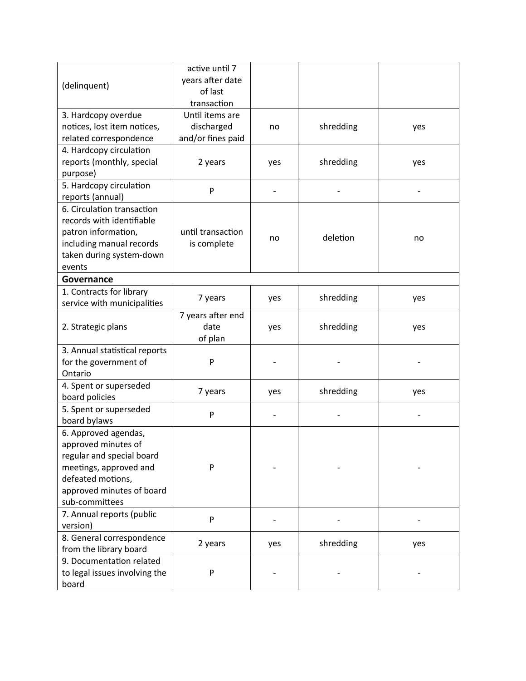| (delinquent)                                                                                                                                                           | active until 7<br>years after date<br>of last<br>transaction |     |           |     |
|------------------------------------------------------------------------------------------------------------------------------------------------------------------------|--------------------------------------------------------------|-----|-----------|-----|
| 3. Hardcopy overdue<br>notices, lost item notices,<br>related correspondence                                                                                           | Until items are<br>discharged<br>and/or fines paid           | no  | shredding | yes |
| 4. Hardcopy circulation<br>reports (monthly, special<br>purpose)                                                                                                       | 2 years                                                      | yes | shredding | yes |
| 5. Hardcopy circulation<br>reports (annual)                                                                                                                            | P                                                            |     |           |     |
| 6. Circulation transaction<br>records with identifiable<br>patron information,<br>including manual records<br>taken during system-down<br>events                       | until transaction<br>is complete                             | no  | deletion  | no  |
| Governance                                                                                                                                                             |                                                              |     |           |     |
| 1. Contracts for library<br>service with municipalities                                                                                                                | 7 years                                                      | yes | shredding | yes |
| 2. Strategic plans                                                                                                                                                     | 7 years after end<br>date<br>of plan                         | yes | shredding | yes |
| 3. Annual statistical reports<br>for the government of<br>Ontario                                                                                                      | P                                                            |     |           |     |
| 4. Spent or superseded<br>board policies                                                                                                                               | 7 years                                                      | yes | shredding | yes |
| 5. Spent or superseded<br>board bylaws                                                                                                                                 | P                                                            |     |           |     |
| 6. Approved agendas,<br>approved minutes of<br>regular and special board<br>meetings, approved and<br>defeated motions,<br>approved minutes of board<br>sub-committees | P                                                            |     |           |     |
| 7. Annual reports (public<br>version)                                                                                                                                  | P                                                            |     |           |     |
| 8. General correspondence<br>from the library board                                                                                                                    | 2 years                                                      | yes | shredding | yes |
| 9. Documentation related<br>to legal issues involving the<br>board                                                                                                     | P                                                            |     |           |     |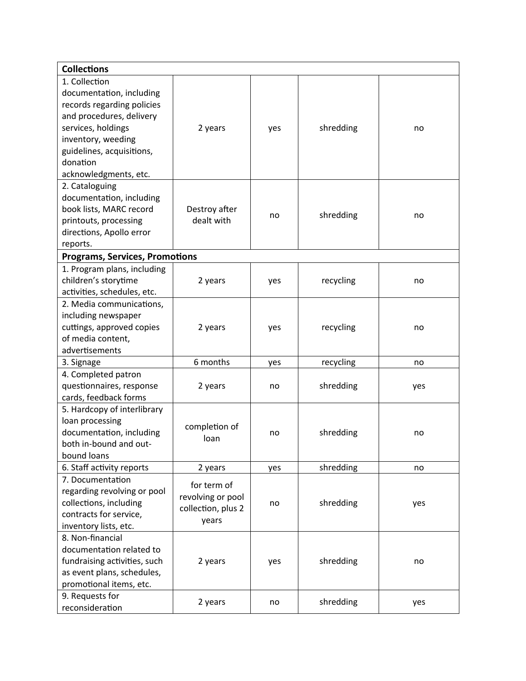| <b>Collections</b>                    |                    |     |           |     |
|---------------------------------------|--------------------|-----|-----------|-----|
| 1. Collection                         |                    |     |           |     |
| documentation, including              |                    |     |           |     |
| records regarding policies            |                    |     |           |     |
| and procedures, delivery              |                    |     |           |     |
| services, holdings                    | 2 years            | yes | shredding | no  |
| inventory, weeding                    |                    |     |           |     |
| guidelines, acquisitions,             |                    |     |           |     |
| donation                              |                    |     |           |     |
| acknowledgments, etc.                 |                    |     |           |     |
| 2. Cataloguing                        |                    |     |           |     |
| documentation, including              |                    |     |           |     |
| book lists, MARC record               | Destroy after      |     |           |     |
| printouts, processing                 | dealt with         | no  | shredding | no  |
| directions, Apollo error              |                    |     |           |     |
| reports.                              |                    |     |           |     |
| <b>Programs, Services, Promotions</b> |                    |     |           |     |
| 1. Program plans, including           |                    |     |           |     |
| children's storytime                  | 2 years            | yes | recycling | no  |
| activities, schedules, etc.           |                    |     |           |     |
| 2. Media communications,              |                    |     |           |     |
| including newspaper                   |                    |     |           |     |
| cuttings, approved copies             | 2 years            | yes | recycling | no  |
| of media content,                     |                    |     |           |     |
| advertisements                        |                    |     |           |     |
| 3. Signage                            | 6 months           | yes | recycling | no  |
| 4. Completed patron                   |                    |     |           |     |
| questionnaires, response              | 2 years            | no  | shredding | yes |
| cards, feedback forms                 |                    |     |           |     |
| 5. Hardcopy of interlibrary           |                    |     |           |     |
| loan processing                       | completion of      |     |           |     |
| documentation, including              | loan               | no  | shredding | no  |
| both in-bound and out-                |                    |     |           |     |
| bound loans                           |                    |     |           |     |
| 6. Staff activity reports             | 2 years            | yes | shredding | no  |
| 7. Documentation                      | for term of        |     |           |     |
| regarding revolving or pool           | revolving or pool  |     |           |     |
| collections, including                | collection, plus 2 | no  | shredding | yes |
| contracts for service,                | years              |     |           |     |
| inventory lists, etc.                 |                    |     |           |     |
| 8. Non-financial                      |                    |     |           |     |
| documentation related to              |                    |     |           |     |
| fundraising activities, such          | 2 years            | yes | shredding | no  |
| as event plans, schedules,            |                    |     |           |     |
| promotional items, etc.               |                    |     |           |     |
| 9. Requests for                       | 2 years            | no  | shredding |     |
| reconsideration                       |                    |     |           | yes |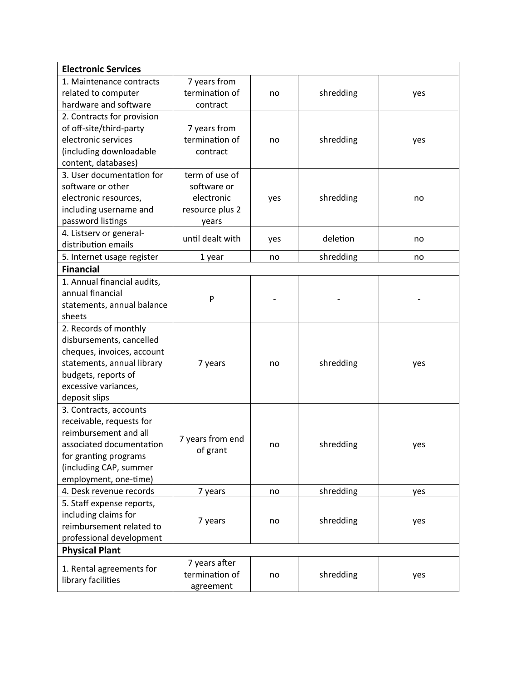| <b>Electronic Services</b>  |                  |     |           |     |
|-----------------------------|------------------|-----|-----------|-----|
| 1. Maintenance contracts    | 7 years from     |     |           |     |
| related to computer         | termination of   | no  | shredding | yes |
| hardware and software       | contract         |     |           |     |
| 2. Contracts for provision  |                  |     |           |     |
| of off-site/third-party     | 7 years from     |     |           |     |
| electronic services         | termination of   | no  | shredding | yes |
| (including downloadable     | contract         |     |           |     |
| content, databases)         |                  |     |           |     |
| 3. User documentation for   | term of use of   |     |           |     |
| software or other           | software or      |     |           |     |
| electronic resources,       | electronic       | yes | shredding | no  |
| including username and      | resource plus 2  |     |           |     |
| password listings           | years            |     |           |     |
| 4. Listserv or general-     | until dealt with |     | deletion  | no  |
| distribution emails         |                  | yes |           |     |
| 5. Internet usage register  | 1 year           | no  | shredding | no  |
| <b>Financial</b>            |                  |     |           |     |
| 1. Annual financial audits, |                  |     |           |     |
| annual financial            | P                |     |           |     |
| statements, annual balance  |                  |     |           |     |
| sheets                      |                  |     |           |     |
| 2. Records of monthly       |                  |     |           |     |
| disbursements, cancelled    |                  |     |           |     |
| cheques, invoices, account  |                  |     |           |     |
| statements, annual library  | 7 years          | no  | shredding | yes |
| budgets, reports of         |                  |     |           |     |
| excessive variances,        |                  |     |           |     |
| deposit slips               |                  |     |           |     |
| 3. Contracts, accounts      |                  |     |           |     |
| receivable, requests for    |                  |     |           |     |
| reimbursement and all       | 7 years from end |     |           |     |
| associated documentation    | of grant         | no  | shredding | yes |
| for granting programs       |                  |     |           |     |
| (including CAP, summer      |                  |     |           |     |
| employment, one-time)       |                  |     |           |     |
| 4. Desk revenue records     | 7 years          | no  | shredding | yes |
| 5. Staff expense reports,   |                  |     |           |     |
| including claims for        | 7 years          | no  | shredding | yes |
| reimbursement related to    |                  |     |           |     |
| professional development    |                  |     |           |     |
| <b>Physical Plant</b>       |                  |     |           |     |
| 1. Rental agreements for    | 7 years after    |     |           |     |
| library facilities          | termination of   | no  | shredding | yes |
|                             | agreement        |     |           |     |